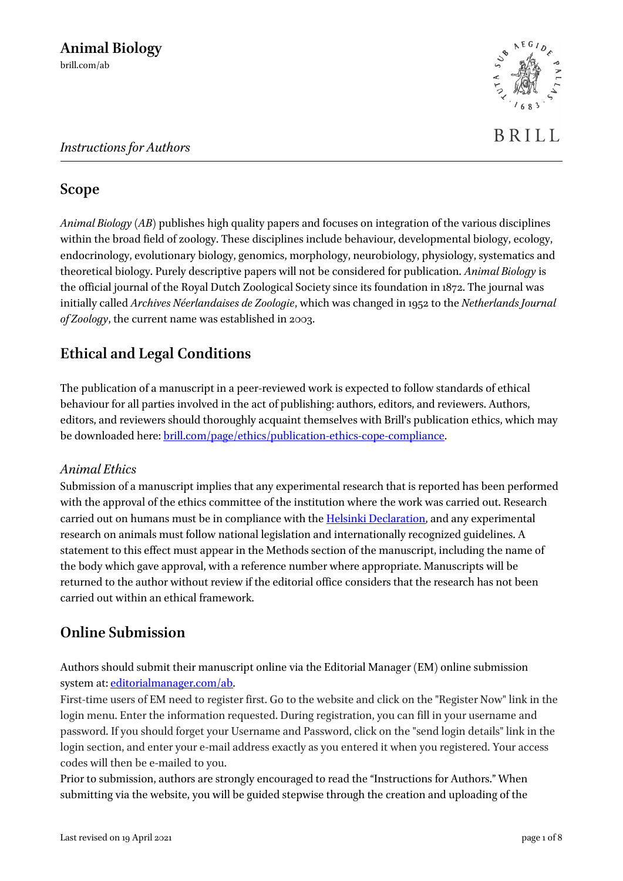

# **Scope**

*Animal Biology* (*AB*) publishes high quality papers and focuses on integration of the various disciplines within the broad field of zoology. These disciplines include behaviour, developmental biology, ecology, endocrinology, evolutionary biology, genomics, morphology, neurobiology, physiology, systematics and theoretical biology. Purely descriptive papers will not be considered for publication. *Animal Biology* is the official journal of the Royal Dutch Zoological Society since its foundation in 1872. The journal was initially called *Archives Néerlandaises de Zoologie*, which was changed in 1952 to the *Netherlands Journal of Zoology*, the current name was established in 2003.

# **Ethical and Legal Conditions**

The publication of a manuscript in a peer-reviewed work is expected to follow standards of ethical behaviour for all parties involved in the act of publishing: authors, editors, and reviewers. Authors, editors, and reviewers should thoroughly acquaint themselves with Brill's publication ethics, which may be downloaded here: [brill.com/page/ethics/publication-ethics-cope-compliance.](https://brill.com/page/ethics/publication-ethics-cope-compliance)

### *Animal Ethics*

Submission of a manuscript implies that any experimental research that is reported has been performed with the approval of the ethics committee of the institution where the work was carried out. Research carried out on humans must be in compliance with the **Helsinki Declaration**, and any experimental research on animals must follow national legislation and internationally recognized guidelines. A statement to this effect must appear in the Methods section of the manuscript, including the name of the body which gave approval, with a reference number where appropriate. Manuscripts will be returned to the author without review if the editorial office considers that the research has not been carried out within an ethical framework.

# **Online Submission**

Authors should submit their manuscript online via the Editorial Manager (EM) online submission system at[: editorialmanager.com/ab.](http://www.editorialmanager.com/ab)

First-time users of EM need to register first. Go to the website and click on the "Register Now" link in the login menu. Enter the information requested. During registration, you can fill in your username and password. If you should forget your Username and Password, click on the "send login details" link in the login section, and enter your e-mail address exactly as you entered it when you registered. Your access codes will then be e-mailed to you.

Prior to submission, authors are strongly encouraged to read the "Instructions for Authors." When submitting via the website, you will be guided stepwise through the creation and uploading of the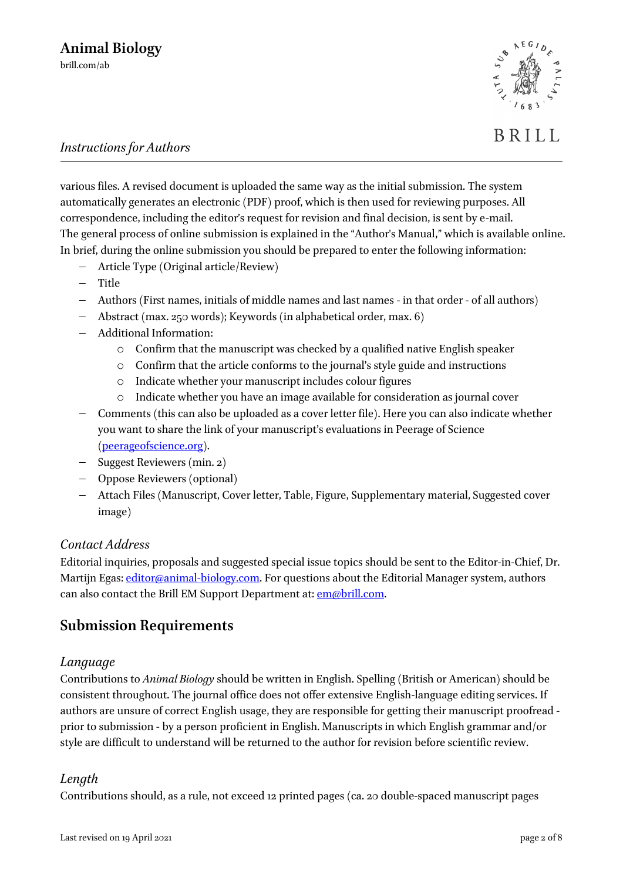

BRILL

various files. A revised document is uploaded the same way as the initial submission. The system automatically generates an electronic (PDF) proof, which is then used for reviewing purposes. All correspondence, including the editor's request for revision and final decision, is sent by e-mail. The general process of online submission is explained in the "Author's Manual," which is available online. In brief, during the online submission you should be prepared to enter the following information:

- − Article Type (Original article/Review)
- − Title
- − Authors (First names, initials of middle names and last names in that order of all authors)
- − Abstract (max. 250 words); Keywords (in alphabetical order, max. 6)
- − Additional Information:
	- o Confirm that the manuscript was checked by a qualified native English speaker
	- o Confirm that the article conforms to the journal's style guide and instructions
	- o Indicate whether your manuscript includes colour figures
	- o Indicate whether you have an image available for consideration as journal cover
- − Comments (this can also be uploaded as a cover letter file). Here you can also indicate whether you want to share the link of your manuscript's evaluations in Peerage of Science [\(peerageofscience.org\)](http://www.peerageofscience.org/).
- − Suggest Reviewers (min. 2)
- − Oppose Reviewers (optional)
- − Attach Files (Manuscript, Cover letter, Table, Figure, Supplementary material, Suggested cover image)

#### *Contact Address*

Editorial inquiries, proposals and suggested special issue topics should be sent to the Editor-in-Chief, Dr. Martijn Egas: [editor@animal-biology.com.](mailto:editor@animal-biology.com) For questions about the Editorial Manager system, authors can also contact the Brill EM Support Department at: [em@brill.com.](mailto:em@brill.com)

# **Submission Requirements**

#### *Language*

Contributions to *Animal Biology* should be written in English. Spelling (British or American) should be consistent throughout. The journal office does not offer extensive English-language editing services. If authors are unsure of correct English usage, they are responsible for getting their manuscript proofread prior to submission - by a person proficient in English. Manuscripts in which English grammar and/or style are difficult to understand will be returned to the author for revision before scientific review.

#### *Length*

Contributions should, as a rule, not exceed 12 printed pages (ca. 20 double-spaced manuscript pages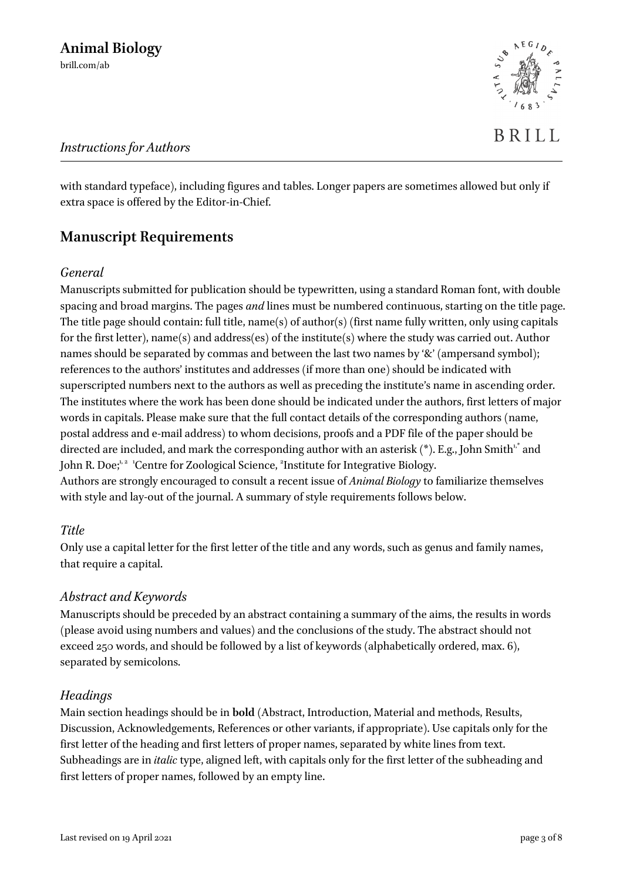with standard typeface), including figures and tables. Longer papers are sometimes allowed but only if extra space is offered by the Editor-in-Chief.

# **Manuscript Requirements**

### *General*

Manuscripts submitted for publication should be typewritten, using a standard Roman font, with double spacing and broad margins. The pages *and* lines must be numbered continuous, starting on the title page. The title page should contain: full title, name(s) of author(s) (first name fully written, only using capitals for the first letter), name(s) and address(es) of the institute(s) where the study was carried out. Author names should be separated by commas and between the last two names by '&' (ampersand symbol); references to the authors' institutes and addresses (if more than one) should be indicated with superscripted numbers next to the authors as well as preceding the institute's name in ascending order. The institutes where the work has been done should be indicated under the authors, first letters of major words in capitals. Please make sure that the full contact details of the corresponding authors (name, postal address and e-mail address) to whom decisions, proofs and a PDF file of the paper should be directed are included, and mark the corresponding author with an asterisk (\*). E.g., John Smith $^{\iota, *}$  and John R. Doe;<sup>1,2</sup> 'Centre for Zoological Science, <sup>2</sup>Institute for Integrative Biology. Authors are strongly encouraged to consult a recent issue of *Animal Biology* to familiarize themselves with style and lay-out of the journal. A summary of style requirements follows below.

### *Title*

Only use a capital letter for the first letter of the title and any words, such as genus and family names, that require a capital.

### *Abstract and Keywords*

Manuscripts should be preceded by an abstract containing a summary of the aims, the results in words (please avoid using numbers and values) and the conclusions of the study. The abstract should not exceed 250 words, and should be followed by a list of keywords (alphabetically ordered, max. 6), separated by semicolons.

### *Headings*

Main section headings should be in **bold** (Abstract, Introduction, Material and methods, Results, Discussion, Acknowledgements, References or other variants, if appropriate). Use capitals only for the first letter of the heading and first letters of proper names, separated by white lines from text. Subheadings are in *italic* type, aligned left, with capitals only for the first letter of the subheading and first letters of proper names, followed by an empty line.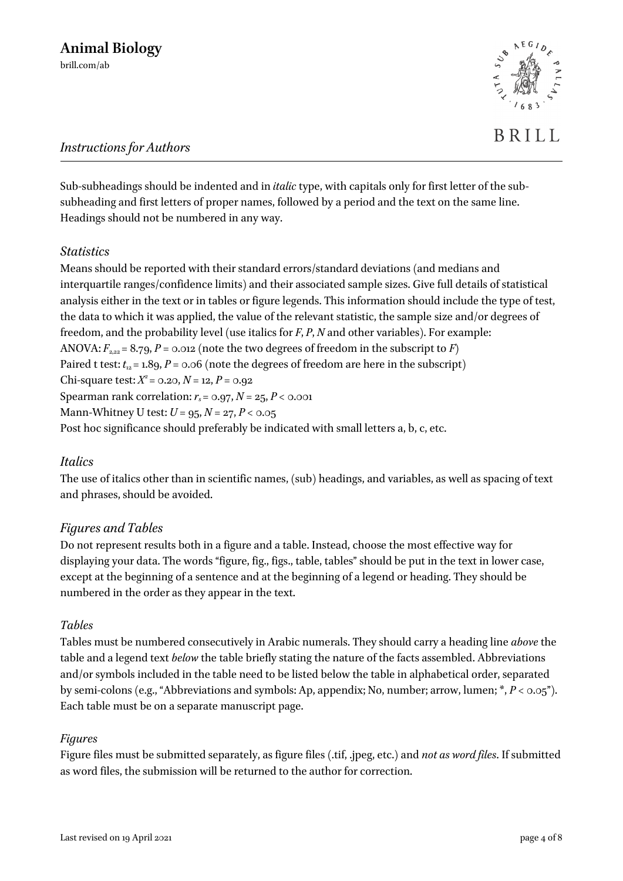Sub-subheadings should be indented and in *italic*type, with capitals only for first letter of the subsubheading and first letters of proper names, followed by a period and the text on the same line. Headings should not be numbered in any way.

### *Statistics*

Means should be reported with their standard errors/standard deviations (and medians and interquartile ranges/confidence limits) and their associated sample sizes. Give full details of statistical analysis either in the text or in tables or figure legends. This information should include the type of test, the data to which it was applied, the value of the relevant statistic, the sample size and/or degrees of freedom, and the probability level (use italics for *F*, *P*, *N* and other variables). For example: ANOVA:  $F_{2,22} = 8.79$ ,  $P = 0.012$  (note the two degrees of freedom in the subscript to *F*) Paired t test:  $t_{12} = 1.89$ ,  $P = 0.06$  (note the degrees of freedom are here in the subscript) Chi-square test:  $X^2 = 0.20, N = 12, P = 0.92$ Spearman rank correlation:  $r_s = 0.97$ ,  $N = 25$ ,  $P < 0.001$ Mann-Whitney U test: *U* = 95, *N* = 27, *P* < 0.05 Post hoc significance should preferably be indicated with small letters a, b, c, etc.

### *Italics*

The use of italics other than in scientific names, (sub) headings, and variables, as well as spacing of text and phrases, should be avoided.

# *Figures and Tables*

Do not represent results both in a figure and a table. Instead, choose the most effective way for displaying your data. The words "figure, fig., figs., table, tables" should be put in the text in lower case, except at the beginning of a sentence and at the beginning of a legend or heading. They should be numbered in the order as they appear in the text.

### *Tables*

Tables must be numbered consecutively in Arabic numerals. They should carry a heading line *above* the table and a legend text *below* the table briefly stating the nature of the facts assembled. Abbreviations and/or symbols included in the table need to be listed below the table in alphabetical order, separated by semi-colons (e.g., "Abbreviations and symbols: Ap, appendix; No, number; arrow, lumen; \*, *P* < 0.05"). Each table must be on a separate manuscript page.

### *Figures*

Figure files must be submitted separately, as figure files (.tif, .jpeg, etc.) and *not as word files*. If submitted as word files, the submission will be returned to the author for correction.

BRILL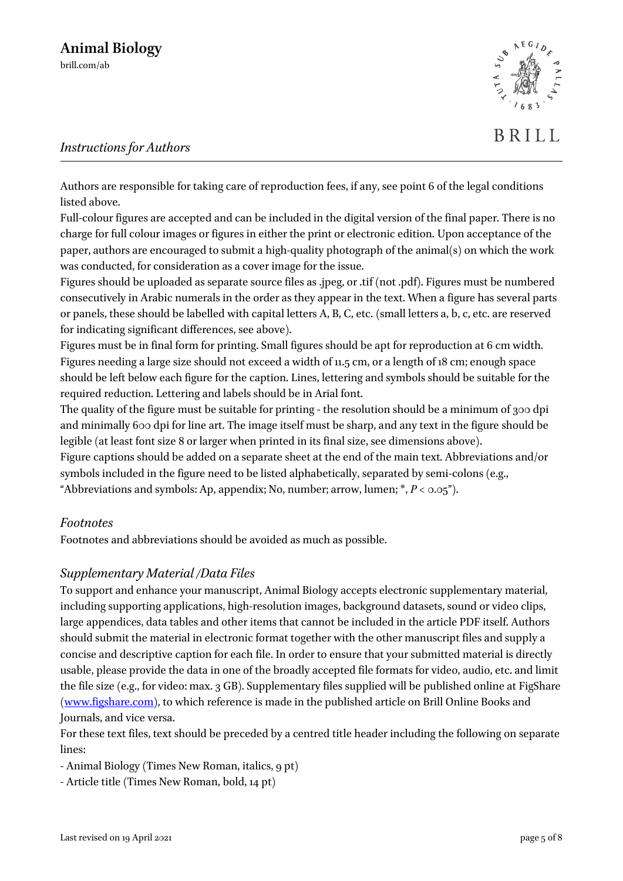

Authors are responsible for taking care of reproduction fees, if any, see point 6 of the legal conditions listed above.

Full-colour figures are accepted and can be included in the digital version of the final paper. There is no charge for full colour images or figures in either the print or electronic edition. Upon acceptance of the paper, authors are encouraged to submit a high-quality photograph of the animal(s) on which the work was conducted, for consideration as a cover image for the issue.

Figures should be uploaded as separate source files as .jpeg, or .tif (not .pdf). Figures must be numbered consecutively in Arabic numerals in the order as they appear in the text. When a figure has several parts or panels, these should be labelled with capital letters A, B, C, etc. (small letters a, b, c, etc. are reserved for indicating significant differences, see above).

Figures must be in final form for printing. Small figures should be apt for reproduction at 6 cm width. Figures needing a large size should not exceed a width of 11.5 cm, or a length of 18 cm; enough space should be left below each figure for the caption. Lines, lettering and symbols should be suitable for the required reduction. Lettering and labels should be in Arial font.

The quality of the figure must be suitable for printing - the resolution should be a minimum of 300 dpi and minimally 600 dpi for line art. The image itself must be sharp, and any text in the figure should be legible (at least font size 8 or larger when printed in its final size, see dimensions above).

Figure captions should be added on a separate sheet at the end of the main text. Abbreviations and/or symbols included in the figure need to be listed alphabetically, separated by semi-colons (e.g., "Abbreviations and symbols: Ap, appendix; No, number; arrow, lumen;  $*$ ,  $P < 0.05$ ").

### *Footnotes*

Footnotes and abbreviations should be avoided as much as possible.

### *Supplementary Material /Data Files*

To support and enhance your manuscript, Animal Biology accepts electronic supplementary material, including supporting applications, high-resolution images, background datasets, sound or video clips, large appendices, data tables and other items that cannot be included in the article PDF itself. Authors should submit the material in electronic format together with the other manuscript files and supply a concise and descriptive caption for each file. In order to ensure that your submitted material is directly usable, please provide the data in one of the broadly accepted file formats for video, audio, etc. and limit the file size (e.g., for video: max. 3 GB). Supplementary files supplied will be published online at FigShare [\(www.figshare.com\)](http://www.figshare.com/), to which reference is made in the published article on Brill Online Books and Journals, and vice versa.

For these text files, text should be preceded by a centred title header including the following on separate lines:

- Animal Biology (Times New Roman, italics, 9 pt)
- Article title (Times New Roman, bold, 14 pt)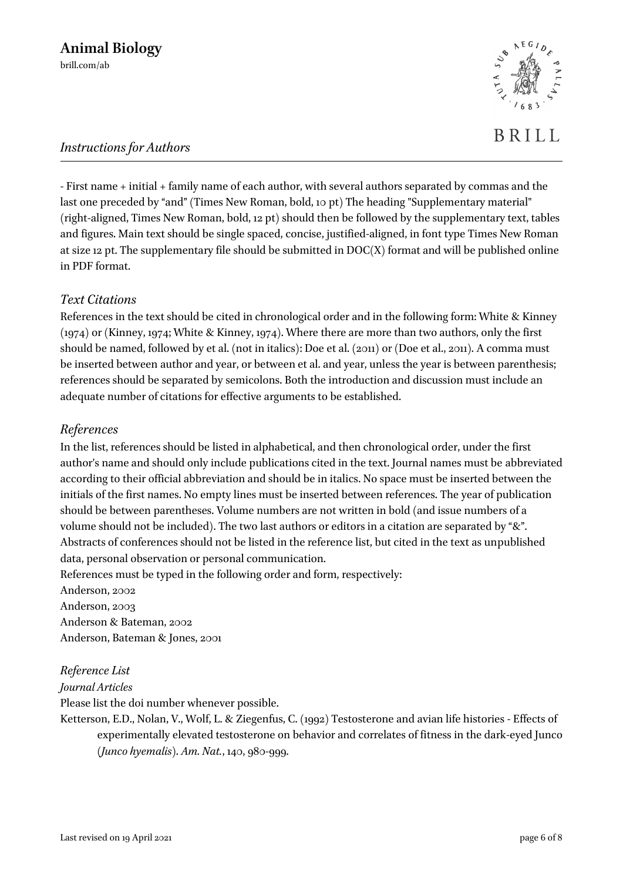- First name + initial + family name of each author, with several authors separated by commas and the last one preceded by "and" (Times New Roman, bold, 10 pt) The heading "Supplementary material" (right-aligned, Times New Roman, bold, 12 pt) should then be followed by the supplementary text, tables and figures. Main text should be single spaced, concise, justified-aligned, in font type Times New Roman at size 12 pt. The supplementary file should be submitted in DOC(X) format and will be published online in PDF format.

# *Text Citations*

References in the text should be cited in chronological order and in the following form: White & Kinney (1974) or (Kinney, 1974; White & Kinney, 1974). Where there are more than two authors, only the first should be named, followed by et al. (not in italics): Doe et al. (2011) or (Doe et al., 2011). A comma must be inserted between author and year, or between et al. and year, unless the year is between parenthesis; references should be separated by semicolons. Both the introduction and discussion must include an adequate number of citations for effective arguments to be established.

# *References*

In the list, references should be listed in alphabetical, and then chronological order, under the first author's name and should only include publications cited in the text. Journal names must be abbreviated according to their official abbreviation and should be in italics. No space must be inserted between the initials of the first names. No empty lines must be inserted between references. The year of publication should be between parentheses. Volume numbers are not written in bold (and issue numbers of a volume should not be included). The two last authors or editors in a citation are separated by "&". Abstracts of conferences should not be listed in the reference list, but cited in the text as unpublished data, personal observation or personal communication.

References must be typed in the following order and form, respectively:

Anderson, 2002 Anderson, 2003 Anderson & Bateman, 2002

Anderson, Bateman & Jones, 2001

# *Reference List*

*Journal Articles*

Please list the doi number whenever possible.

Ketterson, E.D., Nolan, V., Wolf, L. & Ziegenfus, C. (1992) Testosterone and avian life histories - Effects of experimentally elevated testosterone on behavior and correlates of fitness in the dark-eyed Junco (*Junco hyemalis*). *Am. Nat.*, 140, 980-999.



BRILL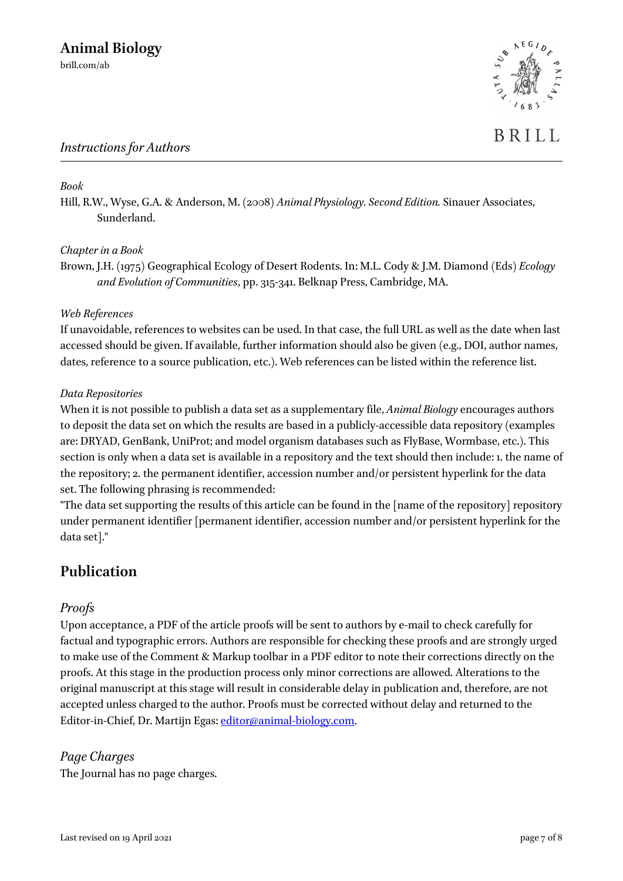

#### *Book*

Hill, R.W., Wyse, G.A. & Anderson, M. (2008) *Animal Physiology. Second Edition.* Sinauer Associates, Sunderland.

#### *Chapter in a Book*

Brown, J.H. (1975) Geographical Ecology of Desert Rodents. In: M.L. Cody & J.M. Diamond (Eds) *Ecology and Evolution of Communities*, pp. 315-341. Belknap Press, Cambridge, MA.

#### *Web References*

If unavoidable, references to websites can be used. In that case, the full URL as well as the date when last accessed should be given. If available, further information should also be given (e.g., DOI, author names, dates, reference to a source publication, etc.). Web references can be listed within the reference list.

#### *Data Repositories*

When it is not possible to publish a data set as a supplementary file, *Animal Biology* encourages authors to deposit the data set on which the results are based in a publicly-accessible data repository (examples are: DRYAD, GenBank, UniProt; and model organism databases such as FlyBase, Wormbase, etc.). This section is only when a data set is available in a repository and the text should then include: 1. the name of the repository; 2. the permanent identifier, accession number and/or persistent hyperlink for the data set. The following phrasing is recommended:

"The data set supporting the results of this article can be found in the [name of the repository] repository under permanent identifier [permanent identifier, accession number and/or persistent hyperlink for the data set]."

# **Publication**

### *Proofs*

Upon acceptance, a PDF of the article proofs will be sent to authors by e-mail to check carefully for factual and typographic errors. Authors are responsible for checking these proofs and are strongly urged to make use of the Comment & Markup toolbar in a PDF editor to note their corrections directly on the proofs. At this stage in the production process only minor corrections are allowed. Alterations to the original manuscript at this stage will result in considerable delay in publication and, therefore, are not accepted unless charged to the author. Proofs must be corrected without delay and returned to the Editor-in-Chief, Dr. Martijn Egas: [editor@animal-biology.com.](mailto:editor@animal-biology.com)

### *Page Charges*

The Journal has no page charges.